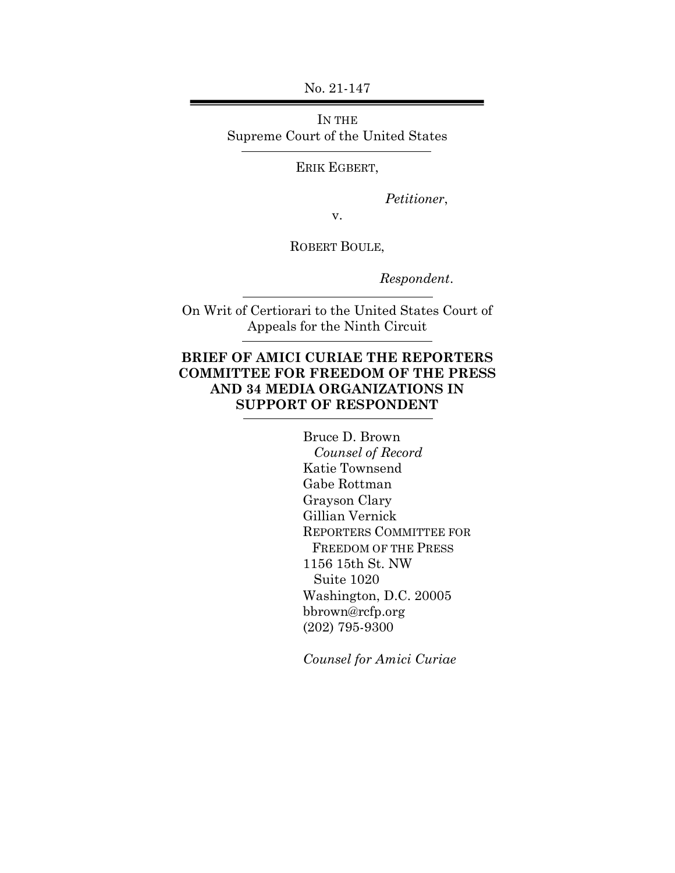No. 21-147

IN THE Supreme Court of the United States

ERIK EGBERT,

*Petitioner*,

v.

ROBERT BOULE,

*Respondent*.

On Writ of Certiorari to the United States Court of Appeals for the Ninth Circuit

### **BRIEF OF AMICI CURIAE THE REPORTERS COMMITTEE FOR FREEDOM OF THE PRESS AND 34 MEDIA ORGANIZATIONS IN SUPPORT OF RESPONDENT**

Bruce D. Brown  *Counsel of Record* Katie Townsend Gabe Rottman Grayson Clary Gillian Vernick REPORTERS COMMITTEE FOR FREEDOM OF THE PRESS 1156 15th St. NW Suite 1020 Washington, D.C. 20005 bbrown@rcfp.org (202) 795-9300

*Counsel for Amici Curiae*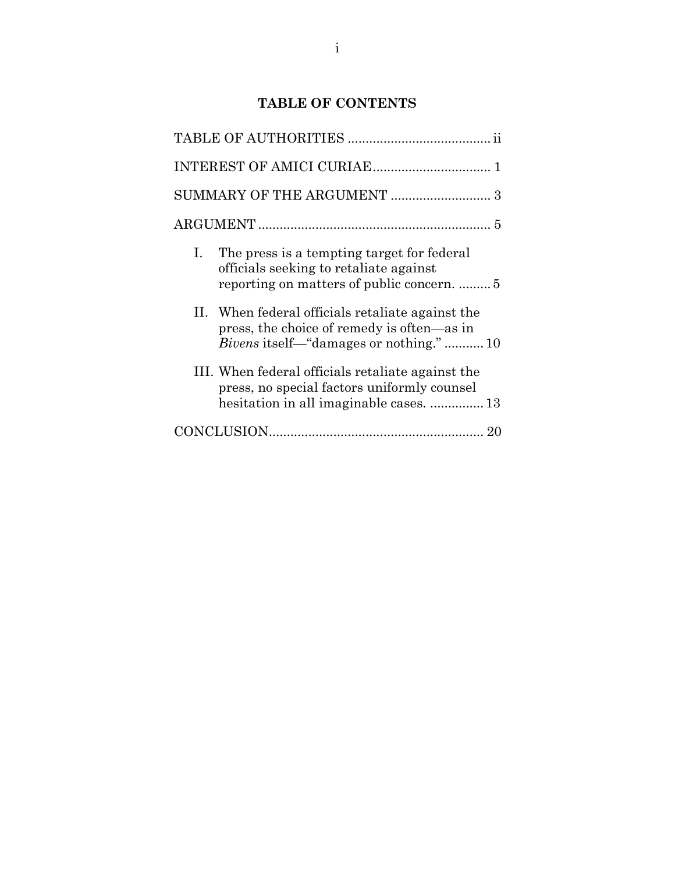## **TABLE OF CONTENTS**

| I. The press is a tempting target for federal<br>officials seeking to retaliate against                                                        |  |
|------------------------------------------------------------------------------------------------------------------------------------------------|--|
| II. When federal officials retaliate against the<br>press, the choice of remedy is often—as in<br><i>Bivens</i> itself—"damages or nothing."10 |  |
| III. When federal officials retaliate against the<br>press, no special factors uniformly counsel<br>hesitation in all imaginable cases.  13    |  |
|                                                                                                                                                |  |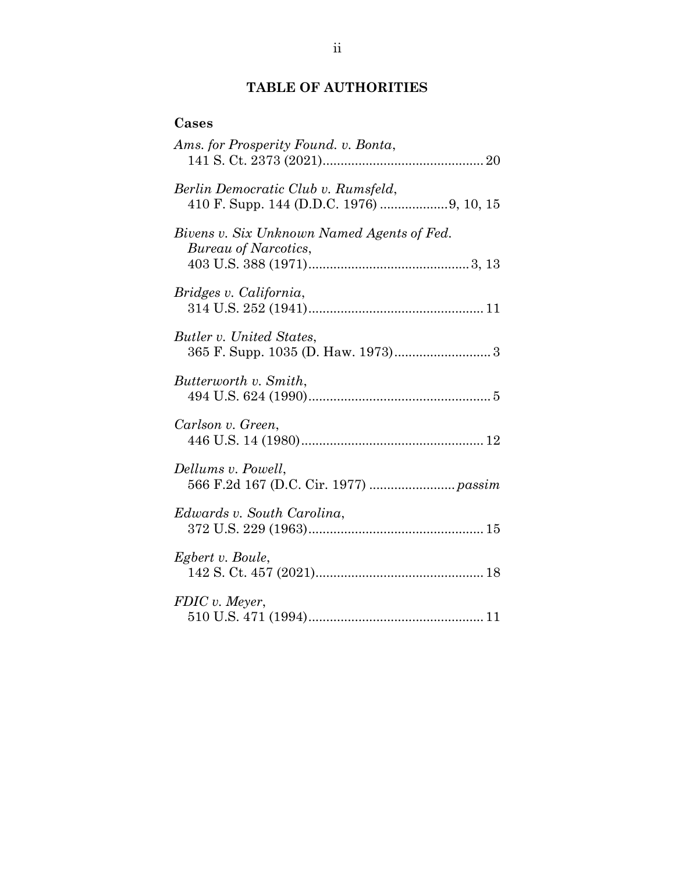#### **TABLE OF AUTHORITIES**

# **Cases** *Ams. for Prosperity Found. v. Bonta*, 141 S. Ct. 2373 (2021).............................................20 *Berlin Democratic Club v. Rumsfeld*, 410 F. Supp. 144 (D.D.C. 1976) ...................9, 10, 15 *Bivens v. Six Unknown Named Agents of Fed. Bureau of Narcotics*, 403 U.S. 388 (1971).............................................3, 13 *Bridges v. California*, 314 U.S. 252 (1941)................................................. 11 *Butler v. United States*, 365 F. Supp. 1035 (D. Haw. 1973)........................... 3 *Butterworth v. Smith*, 494 U.S. 624 (1990)................................................... 5 *Carlson v. Green*, 446 U.S. 14 (1980)................................................... 12 *Dellums v. Powell*, 566 F.2d 167 (D.C. Cir. 1977) ........................ *passim Edwards v. South Carolina*, 372 U.S. 229 (1963)................................................. 15 *Egbert v. Boule*, 142 S. Ct. 457 (2021)...............................................18 *FDIC v. Meyer*, 510 U.S. 471 (1994)................................................. 11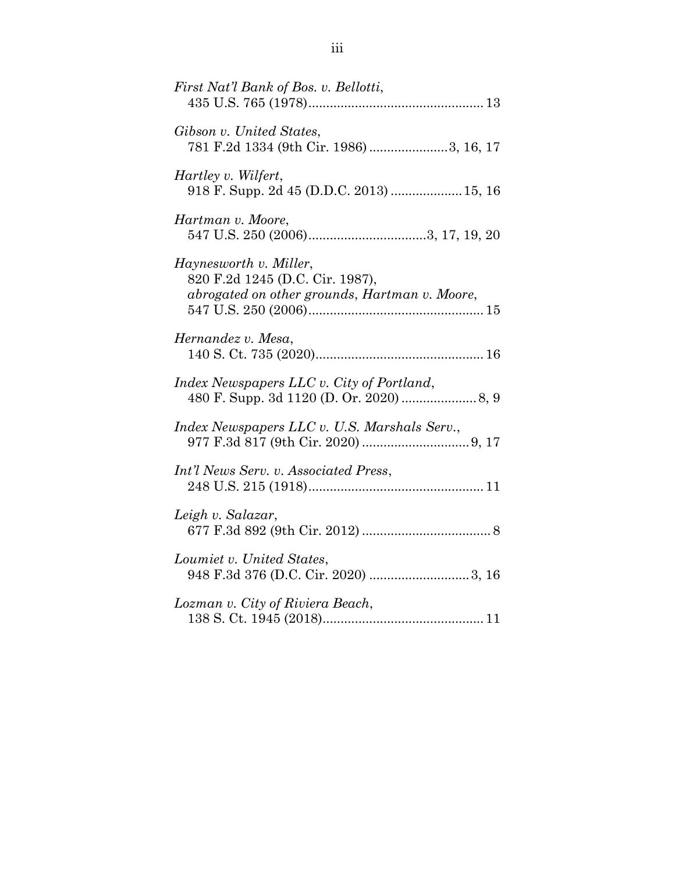| First Nat'l Bank of Bos. v. Bellotti,                                                                      |
|------------------------------------------------------------------------------------------------------------|
| Gibson v. United States,<br>781 F.2d 1334 (9th Cir. 1986) 3, 16, 17                                        |
| <i>Hartley v. Wilfert,</i><br>918 F. Supp. 2d 45 (D.D.C. 2013)  15, 16                                     |
| Hartman v. Moore,                                                                                          |
| Haynesworth v. Miller,<br>820 F.2d 1245 (D.C. Cir. 1987),<br>abrogated on other grounds, Hartman v. Moore, |
| Hernandez v. Mesa,                                                                                         |
| Index Newspapers LLC v. City of Portland,<br>480 F. Supp. 3d 1120 (D. Or. 2020)  8, 9                      |
| Index Newspapers LLC v. U.S. Marshals Serv.,                                                               |
| Int'l News Serv. v. Associated Press,                                                                      |
| Leigh v. Salazar,                                                                                          |
| Loumiet v. United States,                                                                                  |
| Lozman v. City of Riviera Beach,                                                                           |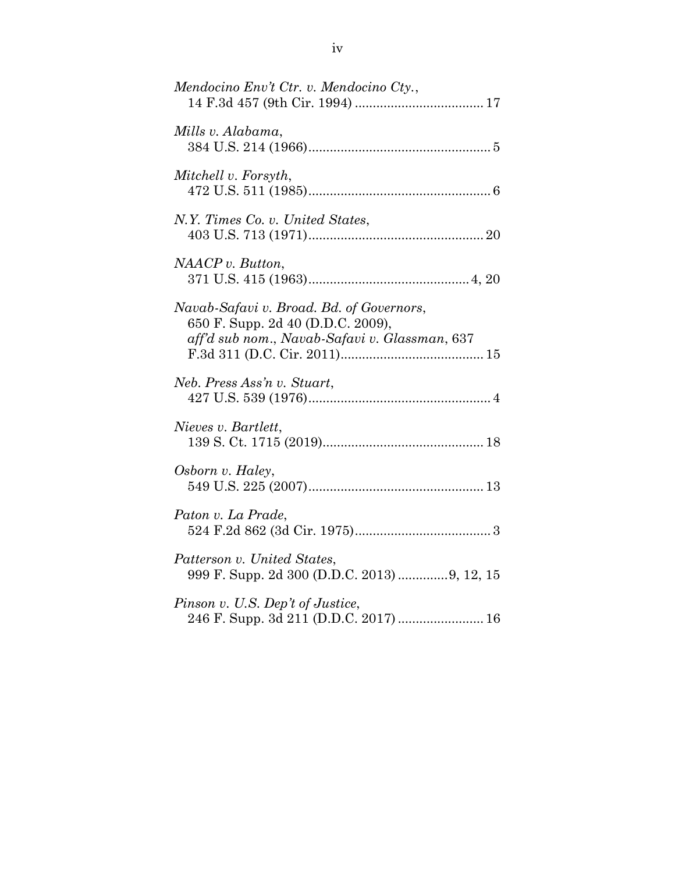| Mendocino Env't Ctr. v. Mendocino Cty.,                                                                                        |
|--------------------------------------------------------------------------------------------------------------------------------|
| Mills v. Alabama,                                                                                                              |
| Mitchell v. Forsyth,                                                                                                           |
| N.Y. Times Co. v. United States,                                                                                               |
| NAACP v. Button,                                                                                                               |
| Navab-Safavi v. Broad. Bd. of Governors,<br>650 F. Supp. 2d 40 (D.D.C. 2009),<br>aff'd sub nom., Navab-Safavi v. Glassman, 637 |
| Neb. Press Ass'n v. Stuart,                                                                                                    |
| Nieves v. Bartlett,                                                                                                            |
| Osborn v. Haley,                                                                                                               |
| Paton v. La Prade,                                                                                                             |
| Patterson v. United States,<br>999 F. Supp. 2d 300 (D.D.C. 2013) 9, 12, 15                                                     |
| Pinson v. U.S. Dep't of Justice,<br>246 F. Supp. 3d 211 (D.D.C. 2017)  16                                                      |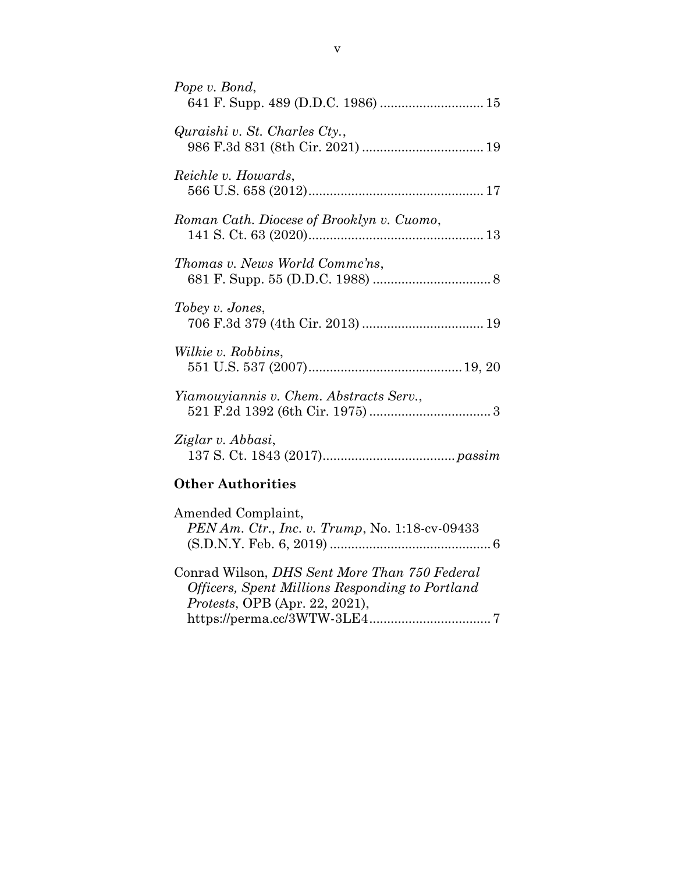| Pope v. Bond,                             |
|-------------------------------------------|
| Quraishi v. St. Charles Cty.,             |
| Reichle v. Howards,                       |
| Roman Cath. Diocese of Brooklyn v. Cuomo, |
| Thomas v. News World Commc'ns,            |
| Tobey v. Jones,                           |
| <i>Wilkie v. Robbins,</i>                 |
| Yiamouyiannis v. Chem. Abstracts Serv.,   |
| Ziglar v. Abbasi,                         |

## **Other Authorities**

| Amended Complaint,<br>$PENAm.$ Ctr., Inc. v. Trump, No. 1:18-cv-09433                            |  |
|--------------------------------------------------------------------------------------------------|--|
| Conrad Wilson, DHS Sent More Than 750 Federal<br>Officers, Spent Millions Responding to Portland |  |
| <i>Protests</i> , OPB (Apr. 22, 2021),                                                           |  |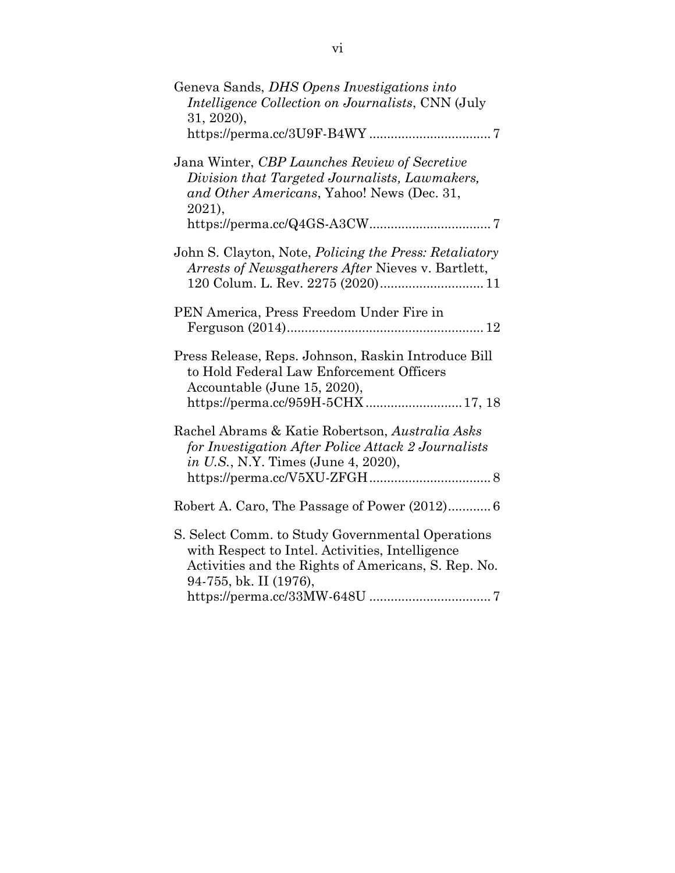| Geneva Sands, DHS Opens Investigations into<br><i>Intelligence Collection on Journalists, CNN (July</i><br>31, 2020,                                                                 |
|--------------------------------------------------------------------------------------------------------------------------------------------------------------------------------------|
| Jana Winter, CBP Launches Review of Secretive<br>Division that Targeted Journalists, Lawmakers,<br>and Other Americans, Yahoo! News (Dec. 31,<br>2021,                               |
| John S. Clayton, Note, <i>Policing the Press: Retaliatory</i><br>Arrests of Newsgatherers After Nieves v. Bartlett,<br>120 Colum. L. Rev. 2275 (2020) 11                             |
| PEN America, Press Freedom Under Fire in                                                                                                                                             |
| Press Release, Reps. Johnson, Raskin Introduce Bill<br>to Hold Federal Law Enforcement Officers<br>Accountable (June 15, 2020),<br>https://perma.cc/959H-5CHX  17, 18                |
| Rachel Abrams & Katie Robertson, Australia Asks<br>for Investigation After Police Attack 2 Journalists<br>in U.S., N.Y. Times (June 4, 2020),                                        |
|                                                                                                                                                                                      |
| S. Select Comm. to Study Governmental Operations<br>with Respect to Intel. Activities, Intelligence<br>Activities and the Rights of Americans, S. Rep. No.<br>94-755, bk. II (1976), |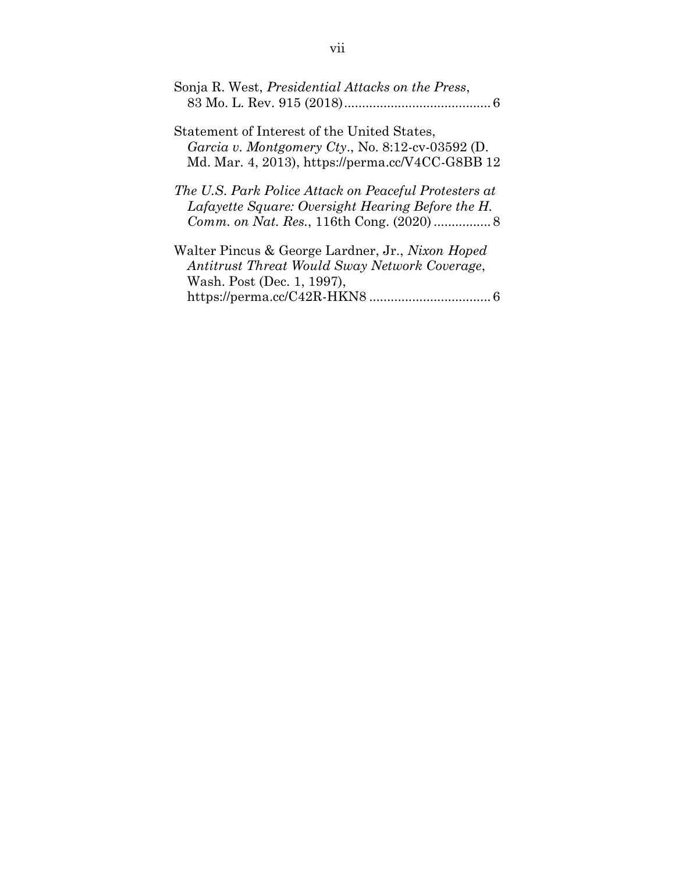| Sonja R. West, <i>Presidential Attacks on the Press</i> ,                                                                                           |
|-----------------------------------------------------------------------------------------------------------------------------------------------------|
| Statement of Interest of the United States,<br>Garcia v. Montgomery Cty., No. 8:12-cv-03592 (D.<br>Md. Mar. 4, 2013), https://perma.cc/V4CC-G8BB 12 |
| The U.S. Park Police Attack on Peaceful Protesters at<br>Lafayette Square: Oversight Hearing Before the H.                                          |
| Walter Pincus & George Lardner, Jr., Nixon Hoped<br>Antitrust Threat Would Sway Network Coverage,<br>Wash. Post (Dec. 1, 1997),                     |

|--|--|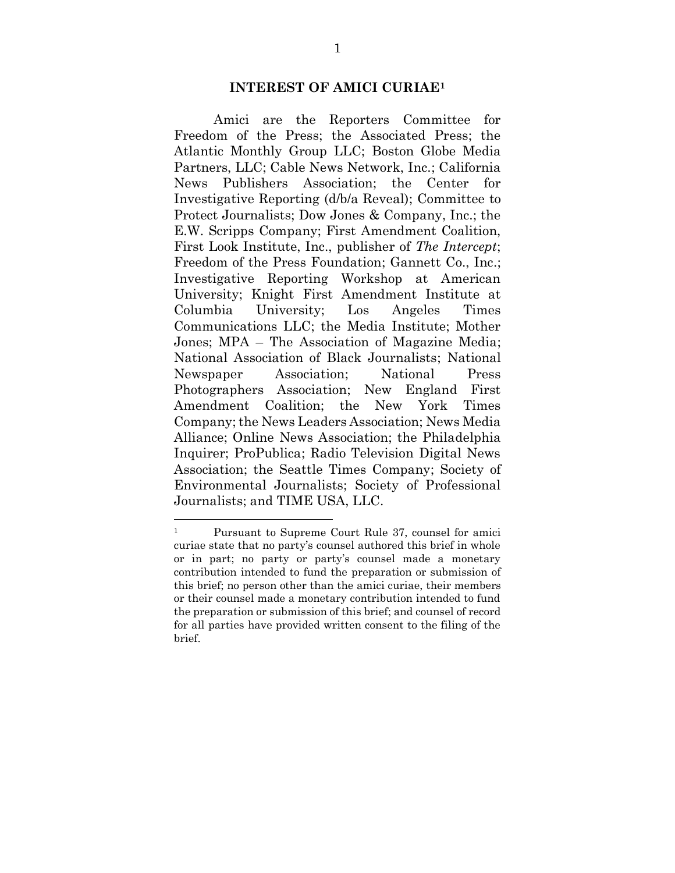#### **INTEREST OF AMICI CURIAE<sup>1</sup>**

Amici are the Reporters Committee for Freedom of the Press; the Associated Press; the Atlantic Monthly Group LLC; Boston Globe Media Partners, LLC; Cable News Network, Inc.; California News Publishers Association; the Center for Investigative Reporting (d/b/a Reveal); Committee to Protect Journalists; Dow Jones & Company, Inc.; the E.W. Scripps Company; First Amendment Coalition, First Look Institute, Inc., publisher of *The Intercept*; Freedom of the Press Foundation; Gannett Co., Inc.; Investigative Reporting Workshop at American University; Knight First Amendment Institute at Columbia University; Los Angeles Times Communications LLC; the Media Institute; Mother Jones; MPA – The Association of Magazine Media; National Association of Black Journalists; National Newspaper Association; National Press Photographers Association; New England First Amendment Coalition; the New York Times Company; the News Leaders Association; News Media Alliance; Online News Association; the Philadelphia Inquirer; ProPublica; Radio Television Digital News Association; the Seattle Times Company; Society of Environmental Journalists; Society of Professional Journalists; and TIME USA, LLC.

<sup>1</sup> Pursuant to Supreme Court Rule 37, counsel for amici curiae state that no party's counsel authored this brief in whole or in part; no party or party's counsel made a monetary contribution intended to fund the preparation or submission of this brief; no person other than the amici curiae, their members or their counsel made a monetary contribution intended to fund the preparation or submission of this brief; and counsel of record for all parties have provided written consent to the filing of the brief.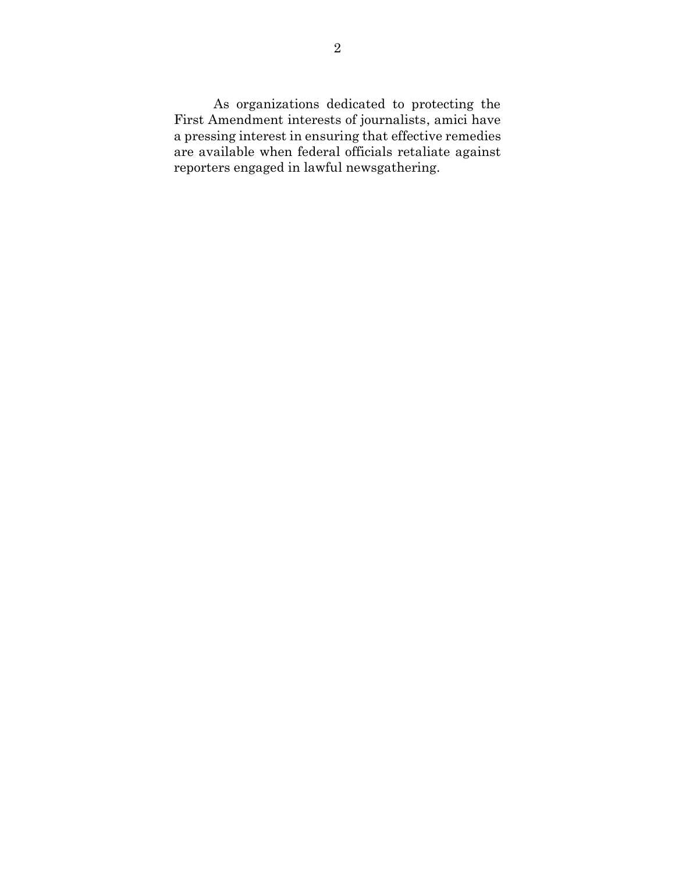As organizations dedicated to protecting the First Amendment interests of journalists, amici have a pressing interest in ensuring that effective remedies are available when federal officials retaliate against reporters engaged in lawful newsgathering.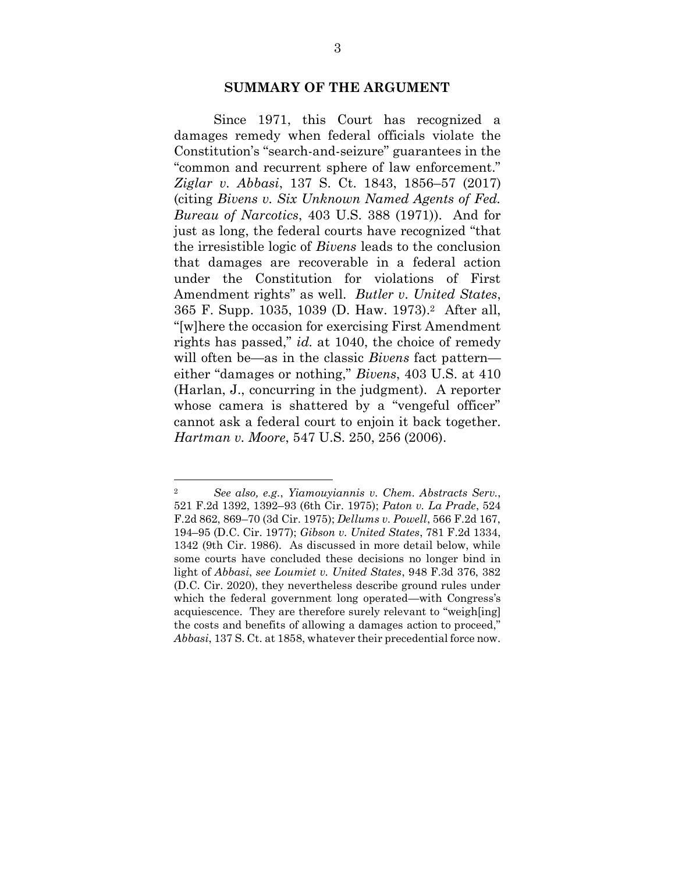#### **SUMMARY OF THE ARGUMENT**

Since 1971, this Court has recognized a damages remedy when federal officials violate the Constitution's "search-and-seizure" guarantees in the "common and recurrent sphere of law enforcement." *Ziglar v. Abbasi*, 137 S. Ct. 1843, 1856–57 (2017) (citing *Bivens v. Six Unknown Named Agents of Fed. Bureau of Narcotics*, 403 U.S. 388 (1971)). And for just as long, the federal courts have recognized "that the irresistible logic of *Bivens* leads to the conclusion that damages are recoverable in a federal action under the Constitution for violations of First Amendment rights" as well. *Butler v. United States*, 365 F. Supp. 1035, 1039 (D. Haw. 1973). <sup>2</sup> After all, "[w]here the occasion for exercising First Amendment rights has passed," *id.* at 1040, the choice of remedy will often be—as in the classic *Bivens* fact pattern either "damages or nothing," *Bivens*, 403 U.S. at 410 (Harlan, J., concurring in the judgment). A reporter whose camera is shattered by a "vengeful officer" cannot ask a federal court to enjoin it back together. *Hartman v. Moore*, 547 U.S. 250, 256 (2006).

<sup>2</sup> *See also, e.g.*, *Yiamouyiannis v. Chem. Abstracts Serv.*, 521 F.2d 1392, 1392–93 (6th Cir. 1975); *Paton v. La Prade*, 524 F.2d 862, 869–70 (3d Cir. 1975); *Dellums v. Powell*, 566 F.2d 167, 194–95 (D.C. Cir. 1977); *Gibson v. United States*, 781 F.2d 1334, 1342 (9th Cir. 1986). As discussed in more detail below, while some courts have concluded these decisions no longer bind in light of *Abbasi*, *see Loumiet v. United States*, 948 F.3d 376, 382 (D.C. Cir. 2020), they nevertheless describe ground rules under which the federal government long operated—with Congress's acquiescence. They are therefore surely relevant to "weigh[ing] the costs and benefits of allowing a damages action to proceed," *Abbasi*, 137 S. Ct. at 1858, whatever their precedential force now.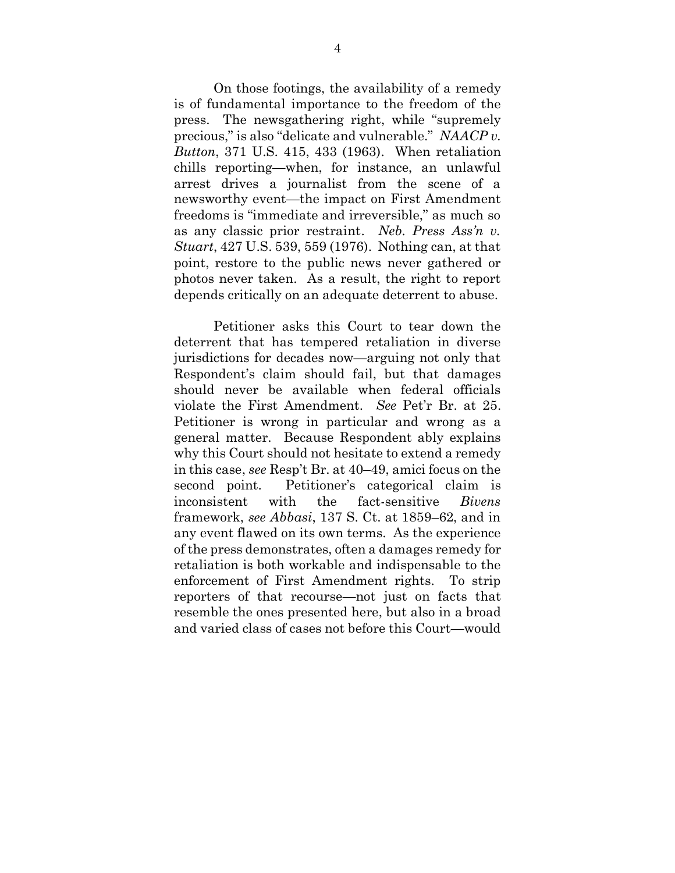On those footings, the availability of a remedy is of fundamental importance to the freedom of the press. The newsgathering right, while "supremely precious," is also "delicate and vulnerable." *NAACP v. Button*, 371 U.S. 415, 433 (1963). When retaliation chills reporting—when, for instance, an unlawful arrest drives a journalist from the scene of a newsworthy event—the impact on First Amendment freedoms is "immediate and irreversible," as much so as any classic prior restraint. *Neb. Press Ass'n v. Stuart*, 427 U.S. 539, 559 (1976). Nothing can, at that point, restore to the public news never gathered or photos never taken. As a result, the right to report depends critically on an adequate deterrent to abuse.

Petitioner asks this Court to tear down the deterrent that has tempered retaliation in diverse jurisdictions for decades now—arguing not only that Respondent's claim should fail, but that damages should never be available when federal officials violate the First Amendment. *See* Pet'r Br. at 25. Petitioner is wrong in particular and wrong as a general matter. Because Respondent ably explains why this Court should not hesitate to extend a remedy in this case, *see* Resp't Br. at 40–49, amici focus on the second point. Petitioner's categorical claim is inconsistent with the fact-sensitive *Bivens*  framework, *see Abbasi*, 137 S. Ct. at 1859–62, and in any event flawed on its own terms. As the experience of the press demonstrates, often a damages remedy for retaliation is both workable and indispensable to the enforcement of First Amendment rights. To strip reporters of that recourse—not just on facts that resemble the ones presented here, but also in a broad and varied class of cases not before this Court—would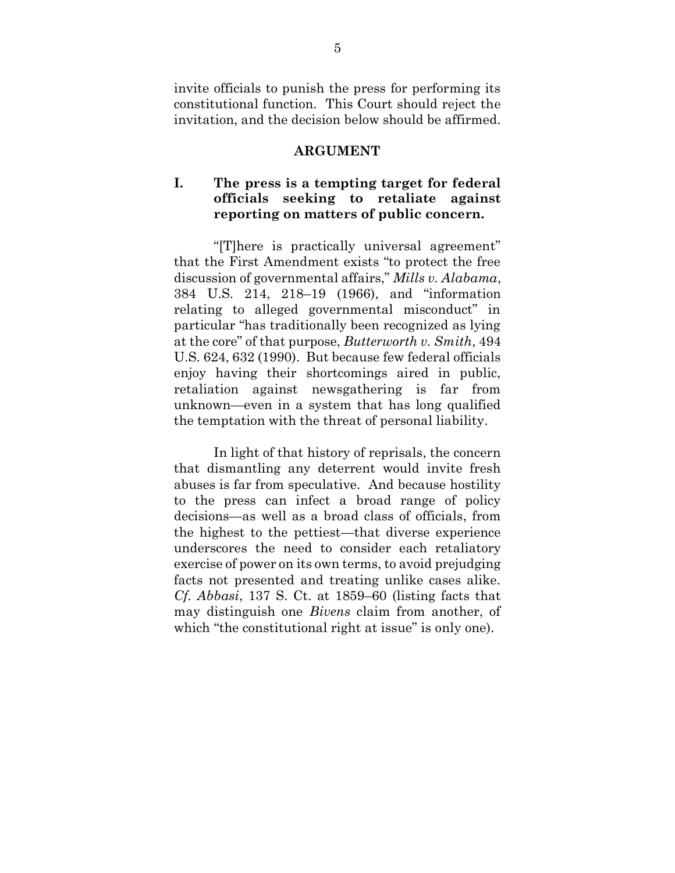invite officials to punish the press for performing its constitutional function. This Court should reject the invitation, and the decision below should be affirmed.

#### **ARGUMENT**

## **I. The press is a tempting target for federal officials seeking to retaliate against reporting on matters of public concern.**

"[T]here is practically universal agreement" that the First Amendment exists "to protect the free discussion of governmental affairs," *Mills v. Alabama*, 384 U.S. 214, 218–19 (1966), and "information relating to alleged governmental misconduct" in particular "has traditionally been recognized as lying at the core" of that purpose, *Butterworth v. Smith*, 494 U.S. 624, 632 (1990). But because few federal officials enjoy having their shortcomings aired in public, retaliation against newsgathering is far from unknown—even in a system that has long qualified the temptation with the threat of personal liability.

In light of that history of reprisals, the concern that dismantling any deterrent would invite fresh abuses is far from speculative. And because hostility to the press can infect a broad range of policy decisions—as well as a broad class of officials, from the highest to the pettiest—that diverse experience underscores the need to consider each retaliatory exercise of power on its own terms, to avoid prejudging facts not presented and treating unlike cases alike. *Cf. Abbasi*, 137 S. Ct. at 1859–60 (listing facts that may distinguish one *Bivens* claim from another, of which "the constitutional right at issue" is only one).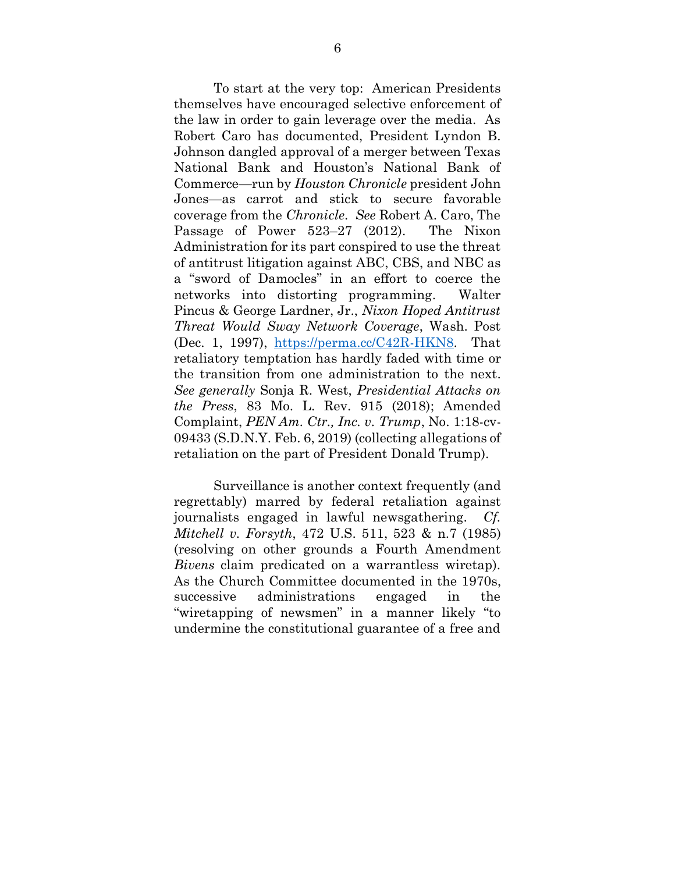To start at the very top: American Presidents themselves have encouraged selective enforcement of the law in order to gain leverage over the media. As Robert Caro has documented, President Lyndon B. Johnson dangled approval of a merger between Texas National Bank and Houston's National Bank of Commerce—run by *Houston Chronicle* president John Jones—as carrot and stick to secure favorable coverage from the *Chronicle*. *See* Robert A. Caro, The Passage of Power 523–27 (2012).The Nixon Administration for its part conspired to use the threat of antitrust litigation against ABC, CBS, and NBC as a "sword of Damocles" in an effort to coerce the networks into distorting programming. Walter Pincus & George Lardner, Jr., *Nixon Hoped Antitrust Threat Would Sway Network Coverage*, Wash. Post (Dec. 1, 1997), [https://perma.cc/C42R-HKN8.](https://perma.cc/C42R-HKN8) That retaliatory temptation has hardly faded with time or the transition from one administration to the next. *See generally* Sonja R. West, *Presidential Attacks on the Press*, 83 Mo. L. Rev. 915 (2018); Amended Complaint, *PEN Am. Ctr., Inc. v. Trump*, No. 1:18-cv-09433 (S.D.N.Y. Feb. 6, 2019) (collecting allegations of retaliation on the part of President Donald Trump).

Surveillance is another context frequently (and regrettably) marred by federal retaliation against journalists engaged in lawful newsgathering. *Cf. Mitchell v. Forsyth*, 472 U.S. 511, 523 & n.7 (1985) (resolving on other grounds a Fourth Amendment *Bivens* claim predicated on a warrantless wiretap). As the Church Committee documented in the 1970s, successive administrations engaged in the "wiretapping of newsmen" in a manner likely "to undermine the constitutional guarantee of a free and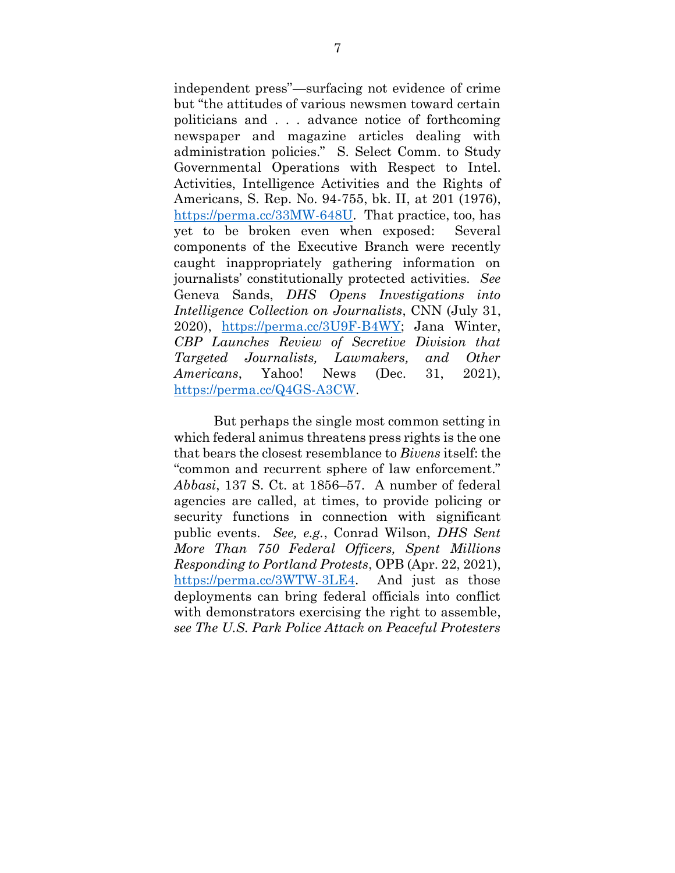independent press"—surfacing not evidence of crime but "the attitudes of various newsmen toward certain politicians and . . . advance notice of forthcoming newspaper and magazine articles dealing with administration policies." S. Select Comm. to Study Governmental Operations with Respect to Intel. Activities, Intelligence Activities and the Rights of Americans, S. Rep. No. 94-755, bk. II, at 201 (1976), [https://perma.cc/33MW-648U.](https://perma.cc/33MW-648U) That practice, too, has yet to be broken even when exposed: Several components of the Executive Branch were recently caught inappropriately gathering information on journalists' constitutionally protected activities. *See* Geneva Sands, *DHS Opens Investigations into Intelligence Collection on Journalists*, CNN (July 31, 2020), [https://perma.cc/3U9F-B4WY;](https://perma.cc/3U9F-B4WY) Jana Winter, *CBP Launches Review of Secretive Division that Targeted Journalists, Lawmakers, and Other Americans*, Yahoo! News (Dec. 31, 2021), [https://perma.cc/Q4GS-A3CW.](https://perma.cc/Q4GS-A3CW)

But perhaps the single most common setting in which federal animus threatens press rights is the one that bears the closest resemblance to *Bivens* itself: the "common and recurrent sphere of law enforcement." *Abbasi*, 137 S. Ct. at 1856–57. A number of federal agencies are called, at times, to provide policing or security functions in connection with significant public events. *See, e.g.*, Conrad Wilson, *DHS Sent More Than 750 Federal Officers, Spent Millions Responding to Portland Protests*, OPB (Apr. 22, 2021), [https://perma.cc/3WTW-3LE4.](https://perma.cc/3WTW-3LE4) And just as those deployments can bring federal officials into conflict with demonstrators exercising the right to assemble, *see The U.S. Park Police Attack on Peaceful Protesters*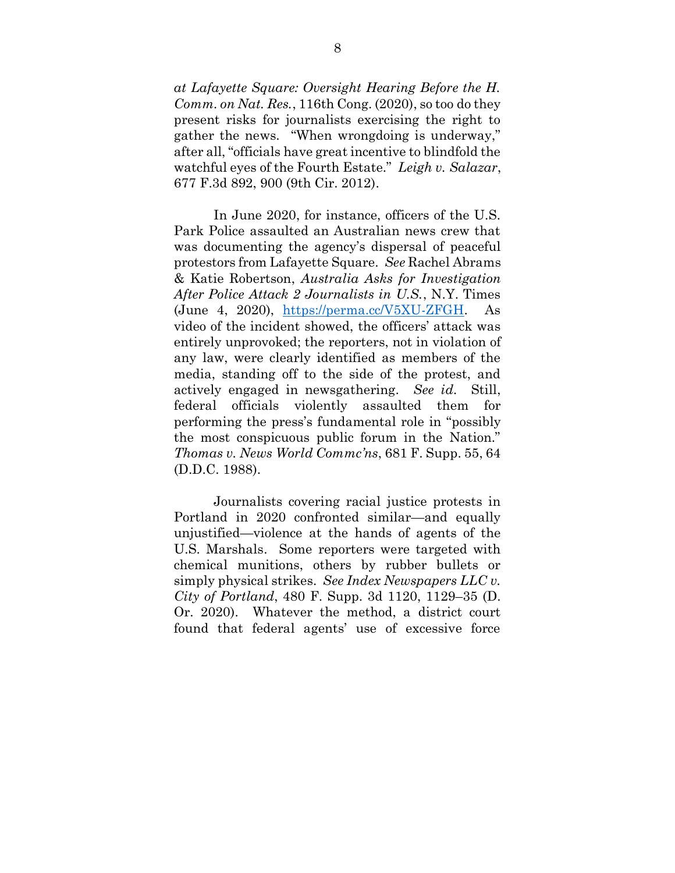*at Lafayette Square: Oversight Hearing Before the H. Comm. on Nat. Res.*, 116th Cong. (2020), so too do they present risks for journalists exercising the right to gather the news. "When wrongdoing is underway," after all, "officials have great incentive to blindfold the watchful eyes of the Fourth Estate." *Leigh v. Salazar*, 677 F.3d 892, 900 (9th Cir. 2012).

In June 2020, for instance, officers of the U.S. Park Police assaulted an Australian news crew that was documenting the agency's dispersal of peaceful protestors from Lafayette Square. *See* Rachel Abrams & Katie Robertson, *Australia Asks for Investigation After Police Attack 2 Journalists in U.S.*, N.Y. Times (June 4, 2020), [https://perma.cc/V5XU-ZFGH.](https://perma.cc/V5XU-ZFGH) As video of the incident showed, the officers' attack was entirely unprovoked; the reporters, not in violation of any law, were clearly identified as members of the media, standing off to the side of the protest, and actively engaged in newsgathering. *See id.* Still, federal officials violently assaulted them for performing the press's fundamental role in "possibly the most conspicuous public forum in the Nation." *Thomas v. News World Commc'ns*, 681 F. Supp. 55, 64 (D.D.C. 1988).

Journalists covering racial justice protests in Portland in 2020 confronted similar—and equally unjustified—violence at the hands of agents of the U.S. Marshals. Some reporters were targeted with chemical munitions, others by rubber bullets or simply physical strikes. *See Index Newspapers LLC v. City of Portland*, 480 F. Supp. 3d 1120, 1129–35 (D. Or. 2020). Whatever the method, a district court found that federal agents' use of excessive force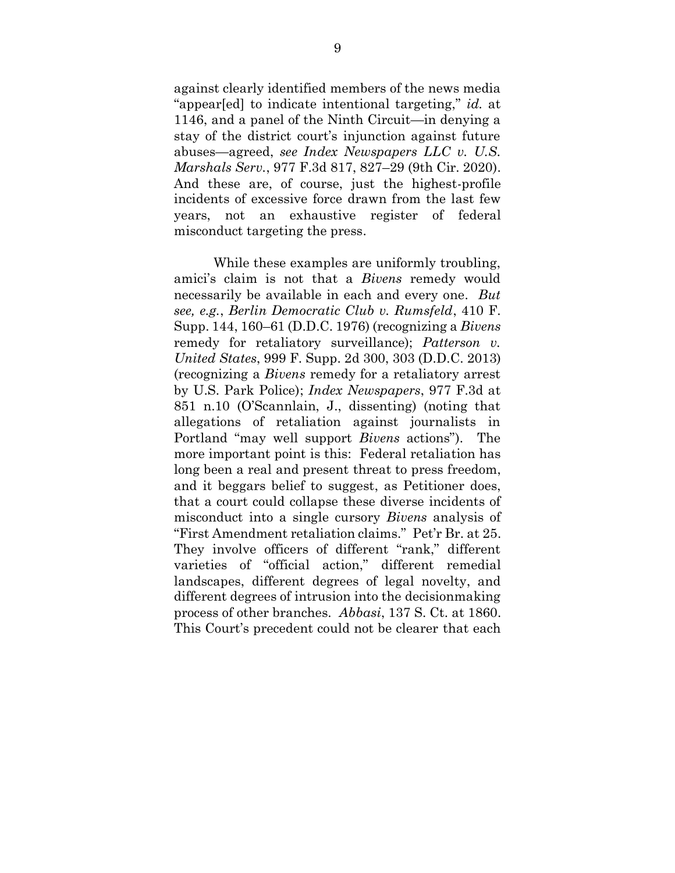against clearly identified members of the news media "appear[ed] to indicate intentional targeting," *id.* at 1146, and a panel of the Ninth Circuit—in denying a stay of the district court's injunction against future abuses—agreed, *see Index Newspapers LLC v. U.S. Marshals Serv.*, 977 F.3d 817, 827–29 (9th Cir. 2020). And these are, of course, just the highest-profile incidents of excessive force drawn from the last few years, not an exhaustive register of federal misconduct targeting the press.

While these examples are uniformly troubling, amici's claim is not that a *Bivens* remedy would necessarily be available in each and every one. *But see, e.g.*, *Berlin Democratic Club v. Rumsfeld*, 410 F. Supp. 144, 160–61 (D.D.C. 1976) (recognizing a *Bivens*  remedy for retaliatory surveillance); *Patterson v. United States*, 999 F. Supp. 2d 300, 303 (D.D.C. 2013) (recognizing a *Bivens* remedy for a retaliatory arrest by U.S. Park Police); *Index Newspapers*, 977 F.3d at 851 n.10 (O'Scannlain, J., dissenting) (noting that allegations of retaliation against journalists in Portland "may well support *Bivens* actions"). The more important point is this: Federal retaliation has long been a real and present threat to press freedom, and it beggars belief to suggest, as Petitioner does, that a court could collapse these diverse incidents of misconduct into a single cursory *Bivens* analysis of "First Amendment retaliation claims." Pet'r Br. at 25. They involve officers of different "rank," different varieties of "official action," different remedial landscapes, different degrees of legal novelty, and different degrees of intrusion into the decisionmaking process of other branches. *Abbasi*, 137 S. Ct. at 1860. This Court's precedent could not be clearer that each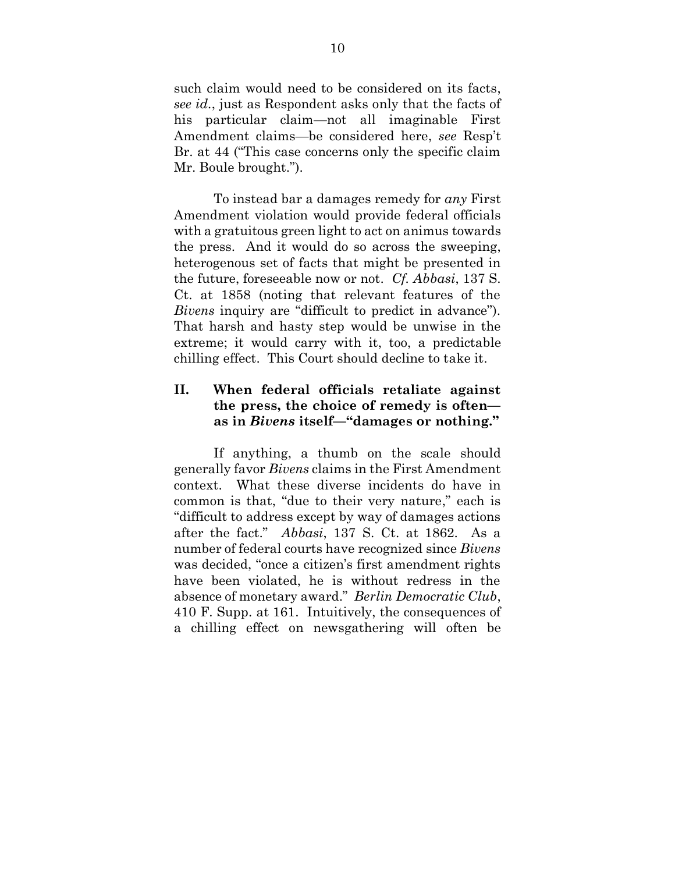such claim would need to be considered on its facts, *see id.*, just as Respondent asks only that the facts of his particular claim—not all imaginable First Amendment claims—be considered here, *see* Resp't Br. at 44 ("This case concerns only the specific claim Mr. Boule brought.").

To instead bar a damages remedy for *any* First Amendment violation would provide federal officials with a gratuitous green light to act on animus towards the press. And it would do so across the sweeping, heterogenous set of facts that might be presented in the future, foreseeable now or not. *Cf. Abbasi*, 137 S. Ct. at 1858 (noting that relevant features of the *Bivens* inquiry are "difficult to predict in advance"). That harsh and hasty step would be unwise in the extreme; it would carry with it, too, a predictable chilling effect. This Court should decline to take it.

## **II. When federal officials retaliate against the press, the choice of remedy is often as in** *Bivens* **itself—"damages or nothing."**

If anything, a thumb on the scale should generally favor *Bivens* claims in the First Amendment context. What these diverse incidents do have in common is that, "due to their very nature," each is "difficult to address except by way of damages actions after the fact." *Abbasi*, 137 S. Ct. at 1862. As a number of federal courts have recognized since *Bivens*  was decided, "once a citizen's first amendment rights have been violated, he is without redress in the absence of monetary award." *Berlin Democratic Club*, 410 F. Supp. at 161. Intuitively, the consequences of a chilling effect on newsgathering will often be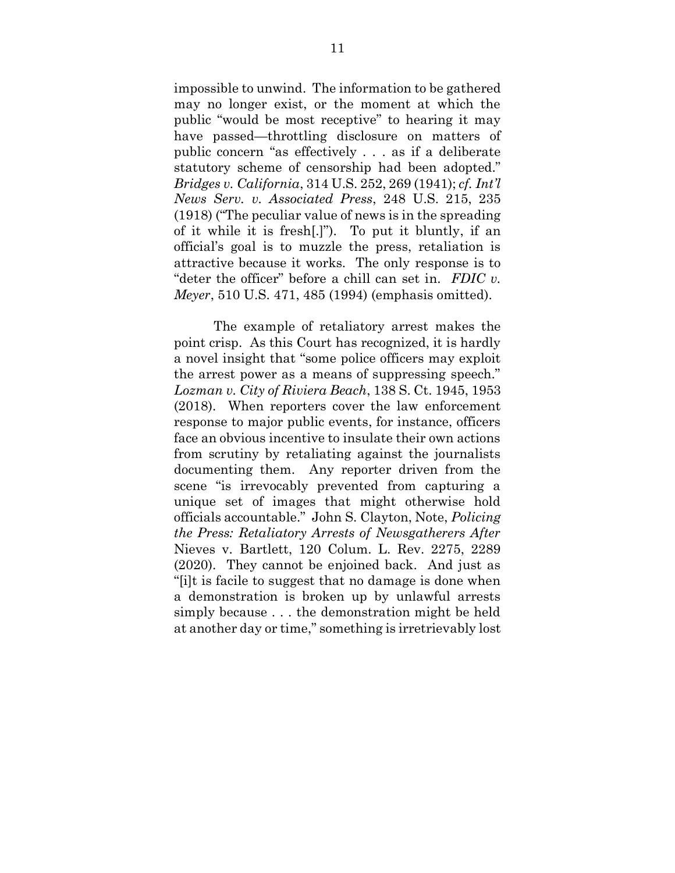impossible to unwind. The information to be gathered may no longer exist, or the moment at which the public "would be most receptive" to hearing it may have passed—throttling disclosure on matters of public concern "as effectively . . . as if a deliberate statutory scheme of censorship had been adopted." *Bridges v. California*, 314 U.S. 252, 269 (1941); *cf. Int'l News Serv. v. Associated Press*, 248 U.S. 215, 235 (1918) ("The peculiar value of news is in the spreading of it while it is fresh[.]"). To put it bluntly, if an official's goal is to muzzle the press, retaliation is attractive because it works. The only response is to "deter the officer" before a chill can set in. *FDIC v. Meyer*, 510 U.S. 471, 485 (1994) (emphasis omitted).

The example of retaliatory arrest makes the point crisp. As this Court has recognized, it is hardly a novel insight that "some police officers may exploit the arrest power as a means of suppressing speech." *Lozman v. City of Riviera Beach*, 138 S. Ct. 1945, 1953 (2018). When reporters cover the law enforcement response to major public events, for instance, officers face an obvious incentive to insulate their own actions from scrutiny by retaliating against the journalists documenting them. Any reporter driven from the scene "is irrevocably prevented from capturing a unique set of images that might otherwise hold officials accountable." John S. Clayton, Note, *Policing the Press: Retaliatory Arrests of Newsgatherers After*  Nieves v. Bartlett, 120 Colum. L. Rev. 2275, 2289 (2020). They cannot be enjoined back. And just as "[i]t is facile to suggest that no damage is done when a demonstration is broken up by unlawful arrests simply because . . . the demonstration might be held at another day or time," something is irretrievably lost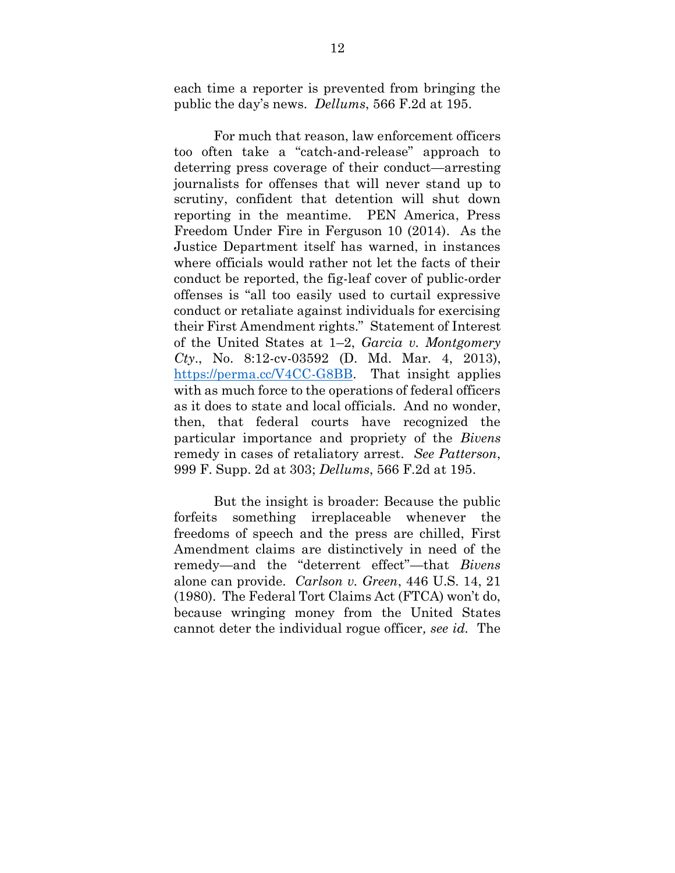each time a reporter is prevented from bringing the public the day's news. *Dellums*, 566 F.2d at 195.

For much that reason, law enforcement officers too often take a "catch-and-release" approach to deterring press coverage of their conduct—arresting journalists for offenses that will never stand up to scrutiny, confident that detention will shut down reporting in the meantime. PEN America, Press Freedom Under Fire in Ferguson 10 (2014). As the Justice Department itself has warned, in instances where officials would rather not let the facts of their conduct be reported, the fig-leaf cover of public-order offenses is "all too easily used to curtail expressive conduct or retaliate against individuals for exercising their First Amendment rights." Statement of Interest of the United States at 1–2, *Garcia v. Montgomery Cty*., No. 8:12-cv-03592 (D. Md. Mar. 4, 2013), [https://perma.cc/V4CC-G8BB.](https://perma.cc/V4CC-G8BB) That insight applies with as much force to the operations of federal officers as it does to state and local officials. And no wonder, then, that federal courts have recognized the particular importance and propriety of the *Bivens*  remedy in cases of retaliatory arrest. *See Patterson*, 999 F. Supp. 2d at 303; *Dellums*, 566 F.2d at 195.

But the insight is broader: Because the public forfeits something irreplaceable whenever the freedoms of speech and the press are chilled, First Amendment claims are distinctively in need of the remedy—and the "deterrent effect"—that *Bivens* alone can provide. *Carlson v. Green*, 446 U.S. 14, 21 (1980). The Federal Tort Claims Act (FTCA) won't do, because wringing money from the United States cannot deter the individual rogue officer*, see id.* The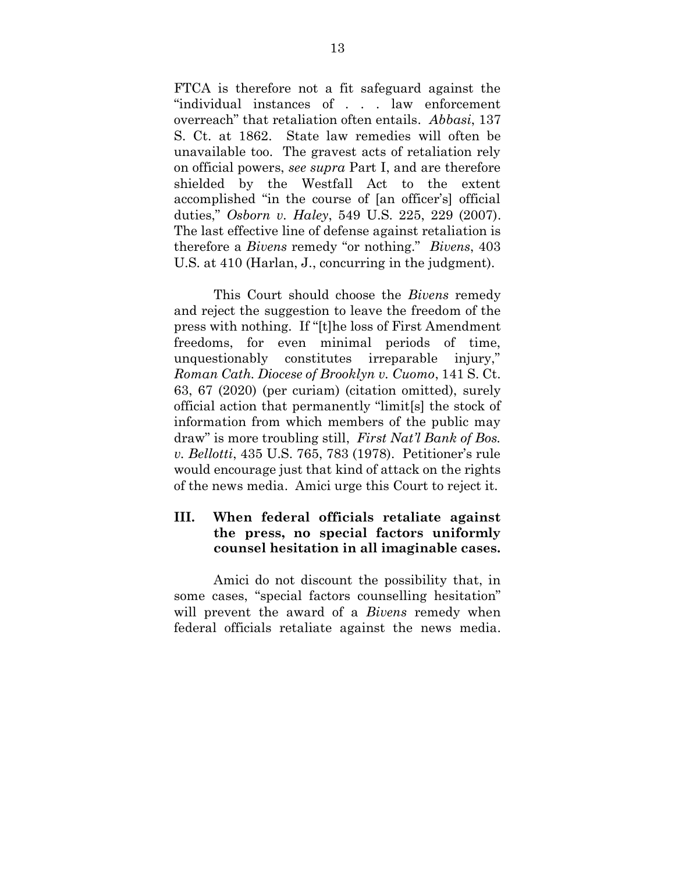FTCA is therefore not a fit safeguard against the "individual instances of . . . law enforcement overreach" that retaliation often entails. *Abbasi*, 137 S. Ct. at 1862. State law remedies will often be unavailable too. The gravest acts of retaliation rely on official powers, *see supra* Part I, and are therefore shielded by the Westfall Act to the extent accomplished "in the course of [an officer's] official duties," *Osborn v. Haley*, 549 U.S. 225, 229 (2007). The last effective line of defense against retaliation is therefore a *Bivens* remedy "or nothing." *Bivens*, 403 U.S. at 410 (Harlan, J., concurring in the judgment).

This Court should choose the *Bivens* remedy and reject the suggestion to leave the freedom of the press with nothing. If "[t]he loss of First Amendment freedoms, for even minimal periods of time, unquestionably constitutes irreparable injury," *Roman Cath. Diocese of Brooklyn v. Cuomo*, 141 S. Ct. 63, 67 (2020) (per curiam) (citation omitted), surely official action that permanently "limit[s] the stock of information from which members of the public may draw" is more troubling still, *First Nat'l Bank of Bos. v. Bellotti*, 435 U.S. 765, 783 (1978). Petitioner's rule would encourage just that kind of attack on the rights of the news media. Amici urge this Court to reject it.

## **III. When federal officials retaliate against the press, no special factors uniformly counsel hesitation in all imaginable cases.**

Amici do not discount the possibility that, in some cases, "special factors counselling hesitation" will prevent the award of a *Bivens* remedy when federal officials retaliate against the news media.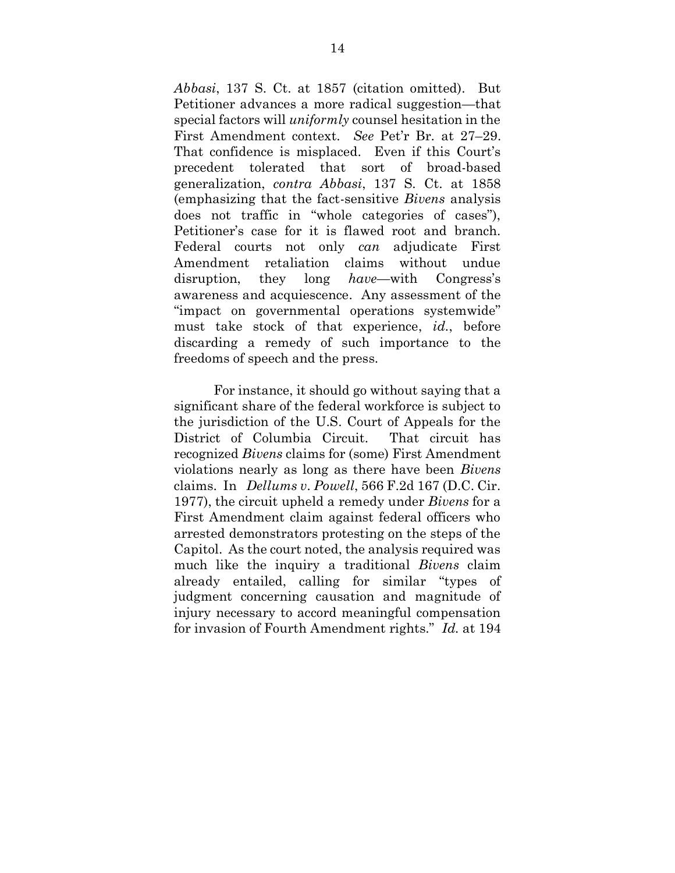*Abbasi*, 137 S. Ct. at 1857 (citation omitted). But Petitioner advances a more radical suggestion—that special factors will *uniformly* counsel hesitation in the First Amendment context. *See* Pet'r Br. at 27–29. That confidence is misplaced. Even if this Court's precedent tolerated that sort of broad-based generalization, *contra Abbasi*, 137 S. Ct. at 1858 (emphasizing that the fact-sensitive *Bivens* analysis does not traffic in "whole categories of cases"), Petitioner's case for it is flawed root and branch. Federal courts not only *can* adjudicate First Amendment retaliation claims without undue disruption, they long *have*—with Congress's awareness and acquiescence. Any assessment of the "impact on governmental operations systemwide" must take stock of that experience, *id.*, before discarding a remedy of such importance to the freedoms of speech and the press.

For instance, it should go without saying that a significant share of the federal workforce is subject to the jurisdiction of the U.S. Court of Appeals for the District of Columbia Circuit. That circuit has recognized *Bivens* claims for (some) First Amendment violations nearly as long as there have been *Bivens*  claims. In *Dellums v. Powell*, 566 F.2d 167 (D.C. Cir. 1977), the circuit upheld a remedy under *Bivens* for a First Amendment claim against federal officers who arrested demonstrators protesting on the steps of the Capitol. As the court noted, the analysis required was much like the inquiry a traditional *Bivens* claim already entailed, calling for similar "types of judgment concerning causation and magnitude of injury necessary to accord meaningful compensation for invasion of Fourth Amendment rights." *Id.* at 194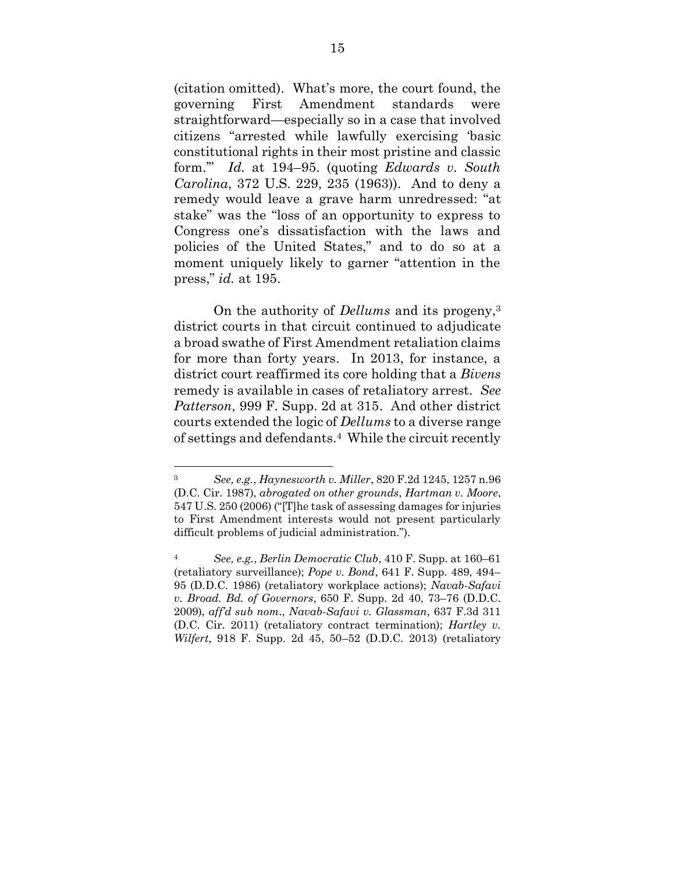(citation omitted). What's more, the court found, the governing First Amendment standards were straightforward—especially so in a case that involved citizens "arrested while lawfully exercising 'basic constitutional rights in their most pristine and classic form.'" *Id.* at 194–95. (quoting *Edwards v. South Carolina*, 372 U.S. 229, 235 (1963)). And to deny a remedy would leave a grave harm unredressed: "at stake" was the "loss of an opportunity to express to Congress one's dissatisfaction with the laws and policies of the United States," and to do so at a moment uniquely likely to garner "attention in the press," *id.* at 195.

On the authority of *Dellums* and its progeny, 3 district courts in that circuit continued to adjudicate a broad swathe of First Amendment retaliation claims for more than forty years. In 2013, for instance, a district court reaffirmed its core holding that a *Bivens*  remedy is available in cases of retaliatory arrest. *See Patterson*, 999 F. Supp. 2d at 315. And other district courts extended the logic of *Dellums* to a diverse range of settings and defendants.<sup>4</sup> While the circuit recently

<sup>3</sup> *See, e.g.*, *Haynesworth v. Miller*, 820 F.2d 1245, 1257 n.96 (D.C. Cir. 1987), *abrogated on other grounds*, *Hartman v. Moore*, 547 U.S. 250 (2006) ("[T]he task of assessing damages for injuries to First Amendment interests would not present particularly difficult problems of judicial administration.").

<sup>4</sup> *See, e.g.*, *Berlin Democratic Club*, 410 F. Supp. at 160–61 (retaliatory surveillance); *Pope v. Bond*, 641 F. Supp. 489, 494– 95 (D.D.C. 1986) (retaliatory workplace actions); *Navab-Safavi v. Broad. Bd. of Governors*, 650 F. Supp. 2d 40, 73–76 (D.D.C. 2009), *aff'd sub nom*., *Navab-Safavi v. Glassman*, 637 F.3d 311 (D.C. Cir. 2011) (retaliatory contract termination); *Hartley v. Wilfert*, 918 F. Supp. 2d 45, 50–52 (D.D.C. 2013) (retaliatory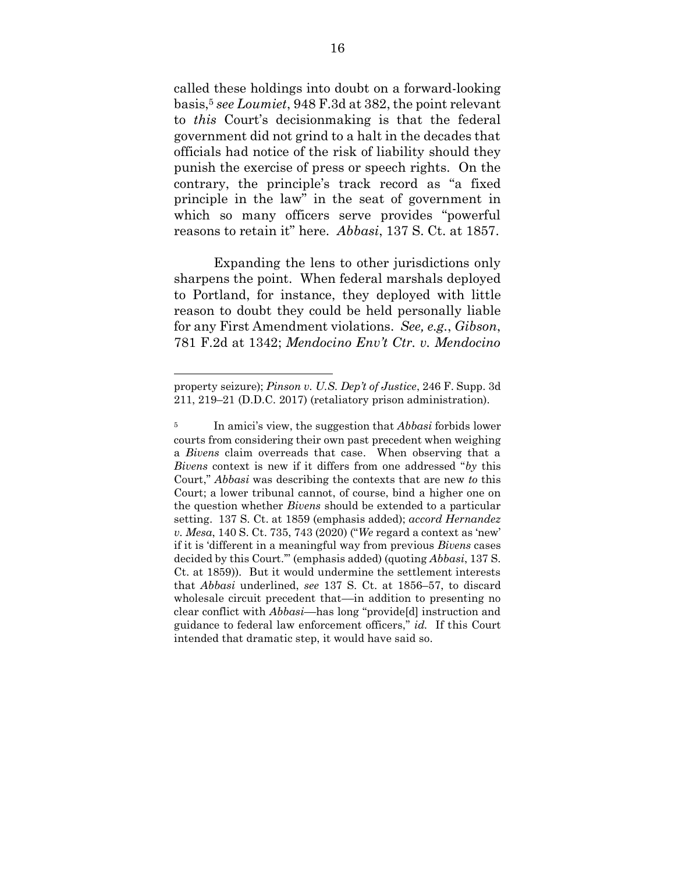called these holdings into doubt on a forward-looking basis, <sup>5</sup> *see Loumiet*, 948 F.3d at 382, the point relevant to *this* Court's decisionmaking is that the federal government did not grind to a halt in the decades that officials had notice of the risk of liability should they punish the exercise of press or speech rights. On the contrary, the principle's track record as "a fixed principle in the law" in the seat of government in which so many officers serve provides "powerful reasons to retain it" here. *Abbasi*, 137 S. Ct. at 1857.

Expanding the lens to other jurisdictions only sharpens the point. When federal marshals deployed to Portland, for instance, they deployed with little reason to doubt they could be held personally liable for any First Amendment violations. *See, e.g.*, *Gibson*, 781 F.2d at 1342; *Mendocino Env't Ctr. v. Mendocino* 

property seizure); *Pinson v. U.S. Dep't of Justice*, 246 F. Supp. 3d 211, 219–21 (D.D.C. 2017) (retaliatory prison administration).

<sup>5</sup> In amici's view, the suggestion that *Abbasi* forbids lower courts from considering their own past precedent when weighing a *Bivens* claim overreads that case. When observing that a *Bivens* context is new if it differs from one addressed "*by* this Court," *Abbasi* was describing the contexts that are new *to* this Court; a lower tribunal cannot, of course, bind a higher one on the question whether *Bivens* should be extended to a particular setting. 137 S. Ct. at 1859 (emphasis added); *accord Hernandez v. Mesa*, 140 S. Ct. 735, 743 (2020) ("*We* regard a context as 'new' if it is 'different in a meaningful way from previous *Bivens* cases decided by this Court.'" (emphasis added) (quoting *Abbasi*, 137 S. Ct. at 1859)). But it would undermine the settlement interests that *Abbasi* underlined, *see* 137 S. Ct. at 1856–57, to discard wholesale circuit precedent that—in addition to presenting no clear conflict with *Abbasi*––has long "provide[d] instruction and guidance to federal law enforcement officers," *id.* If this Court intended that dramatic step, it would have said so.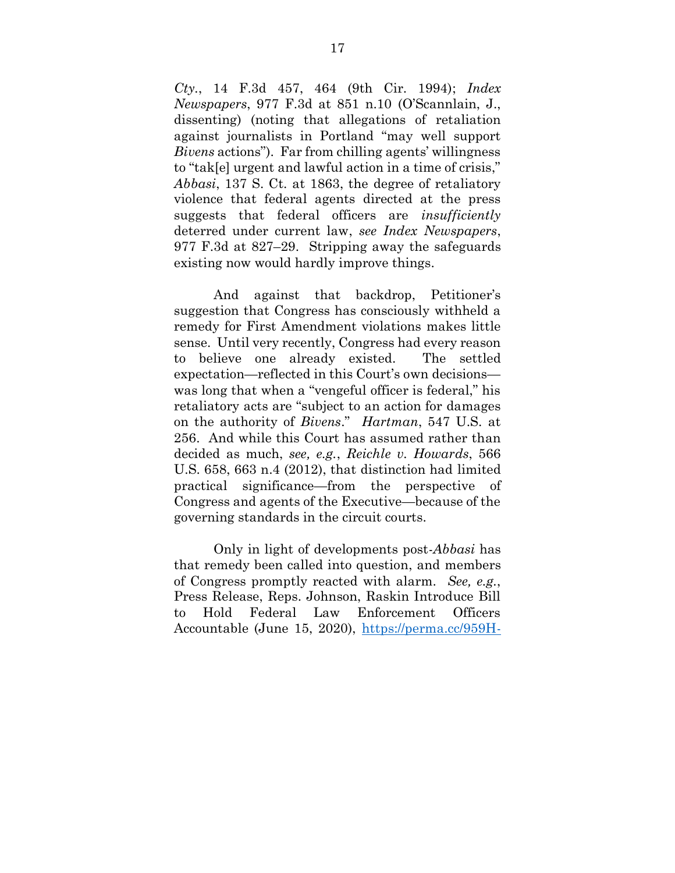*Cty.*, 14 F.3d 457, 464 (9th Cir. 1994); *Index Newspapers*, 977 F.3d at 851 n.10 (O'Scannlain, J., dissenting) (noting that allegations of retaliation against journalists in Portland "may well support *Bivens* actions"). Far from chilling agents' willingness to "tak[e] urgent and lawful action in a time of crisis," *Abbasi*, 137 S. Ct. at 1863, the degree of retaliatory violence that federal agents directed at the press suggests that federal officers are *insufficiently*  deterred under current law, *see Index Newspapers*, 977 F.3d at 827–29. Stripping away the safeguards existing now would hardly improve things.

And against that backdrop, Petitioner's suggestion that Congress has consciously withheld a remedy for First Amendment violations makes little sense. Until very recently, Congress had every reason to believe one already existed. The settled expectation—reflected in this Court's own decisions was long that when a "vengeful officer is federal," his retaliatory acts are "subject to an action for damages on the authority of *Bivens*." *Hartman*, 547 U.S. at 256. And while this Court has assumed rather than decided as much, *see, e.g.*, *Reichle v. Howards*, 566 U.S. 658, 663 n.4 (2012), that distinction had limited practical significance—from the perspective of Congress and agents of the Executive—because of the governing standards in the circuit courts.

Only in light of developments post-*Abbasi* has that remedy been called into question, and members of Congress promptly reacted with alarm. *See, e.g.*, Press Release, Reps. Johnson, Raskin Introduce Bill to Hold Federal Law Enforcement Officers Accountable (June 15, 2020), [https://perma.cc/959H-](https://perma.cc/959H-5CHX)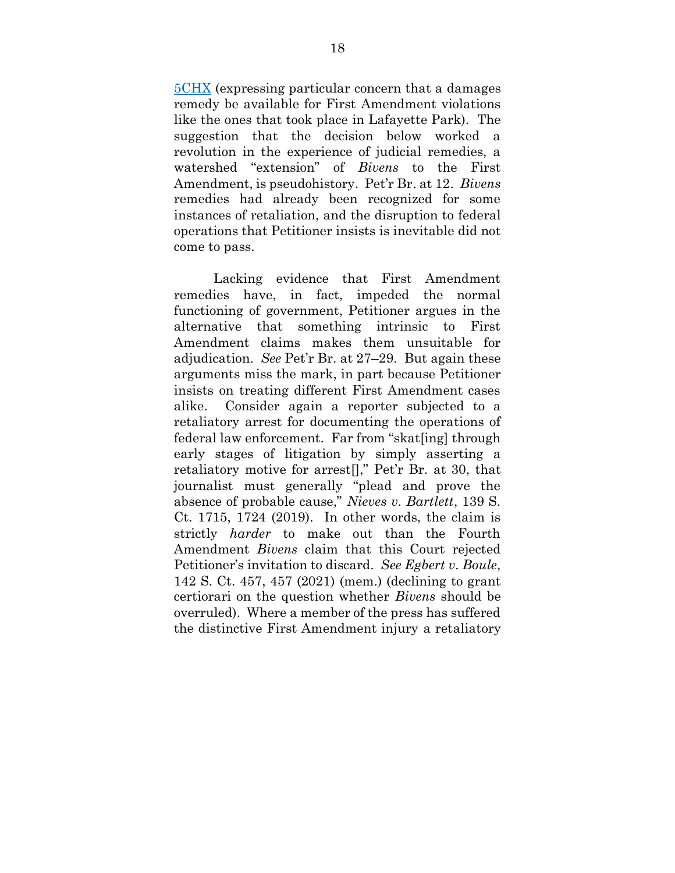[5CHX](https://perma.cc/959H-5CHX) (expressing particular concern that a damages remedy be available for First Amendment violations like the ones that took place in Lafayette Park). The suggestion that the decision below worked a revolution in the experience of judicial remedies, a watershed "extension" of *Bivens* to the First Amendment, is pseudohistory. Pet'r Br. at 12. *Bivens*  remedies had already been recognized for some instances of retaliation, and the disruption to federal operations that Petitioner insists is inevitable did not come to pass.

Lacking evidence that First Amendment remedies have, in fact, impeded the normal functioning of government, Petitioner argues in the alternative that something intrinsic to First Amendment claims makes them unsuitable for adjudication. *See* Pet'r Br. at 27–29. But again these arguments miss the mark, in part because Petitioner insists on treating different First Amendment cases alike. Consider again a reporter subjected to a retaliatory arrest for documenting the operations of federal law enforcement. Far from "skat[ing] through early stages of litigation by simply asserting a retaliatory motive for arrest[]," Pet'r Br. at 30, that journalist must generally "plead and prove the absence of probable cause," *Nieves v. Bartlett*, 139 S. Ct. 1715, 1724 (2019). In other words, the claim is strictly *harder* to make out than the Fourth Amendment *Bivens* claim that this Court rejected Petitioner's invitation to discard. *See Egbert v. Boule*, 142 S. Ct. 457, 457 (2021) (mem.) (declining to grant certiorari on the question whether *Bivens* should be overruled). Where a member of the press has suffered the distinctive First Amendment injury a retaliatory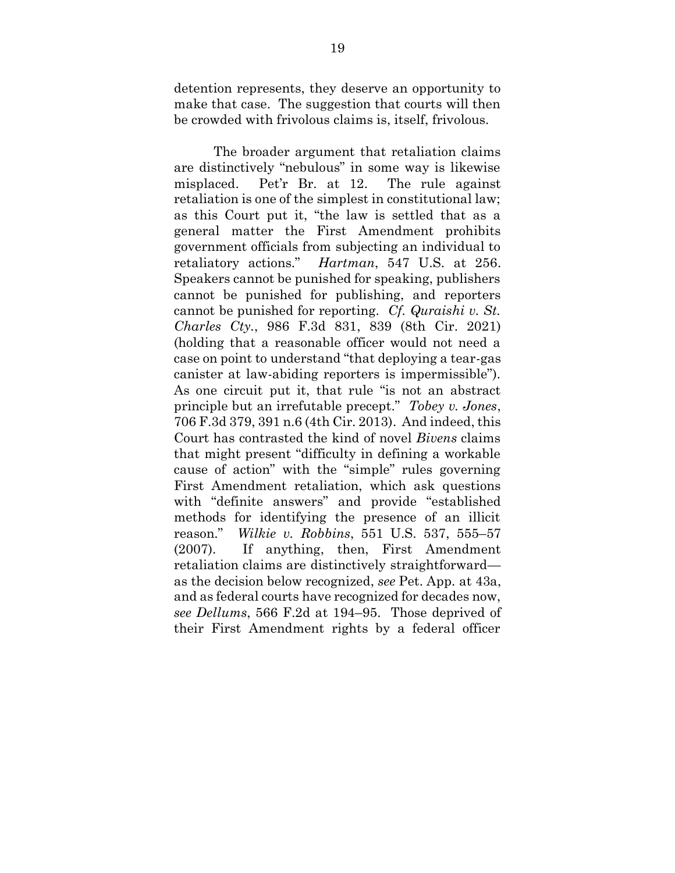detention represents, they deserve an opportunity to make that case. The suggestion that courts will then be crowded with frivolous claims is, itself, frivolous.

The broader argument that retaliation claims are distinctively "nebulous" in some way is likewise misplaced. Pet'r Br. at 12. The rule against retaliation is one of the simplest in constitutional law; as this Court put it, "the law is settled that as a general matter the First Amendment prohibits government officials from subjecting an individual to retaliatory actions." *Hartman*, 547 U.S. at 256. Speakers cannot be punished for speaking, publishers cannot be punished for publishing, and reporters cannot be punished for reporting. *Cf. Quraishi v. St. Charles Cty.*, 986 F.3d 831, 839 (8th Cir. 2021) (holding that a reasonable officer would not need a case on point to understand "that deploying a tear-gas canister at law-abiding reporters is impermissible"). As one circuit put it, that rule "is not an abstract principle but an irrefutable precept." *Tobey v. Jones*, 706 F.3d 379, 391 n.6 (4th Cir. 2013). And indeed, this Court has contrasted the kind of novel *Bivens* claims that might present "difficulty in defining a workable cause of action" with the "simple" rules governing First Amendment retaliation, which ask questions with "definite answers" and provide "established methods for identifying the presence of an illicit reason." *Wilkie v. Robbins*, 551 U.S. 537, 555–57 (2007). If anything, then, First Amendment retaliation claims are distinctively straightforward as the decision below recognized, *see* Pet. App. at 43a, and as federal courts have recognized for decades now, *see Dellums*, 566 F.2d at 194–95. Those deprived of their First Amendment rights by a federal officer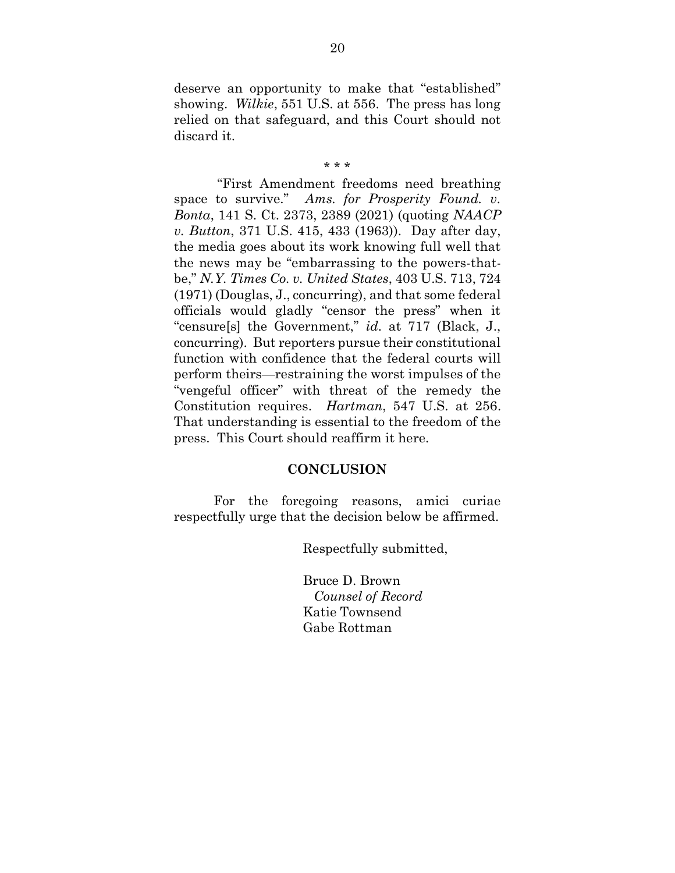deserve an opportunity to make that "established" showing. *Wilkie*, 551 U.S. at 556. The press has long relied on that safeguard, and this Court should not discard it.

#### \* \* \*

"First Amendment freedoms need breathing space to survive." *Ams. for Prosperity Found. v. Bonta*, 141 S. Ct. 2373, 2389 (2021) (quoting *NAACP v. Button*, 371 U.S. 415, 433 (1963)). Day after day, the media goes about its work knowing full well that the news may be "embarrassing to the powers-thatbe," *N.Y. Times Co. v. United States*, 403 U.S. 713, 724 (1971) (Douglas, J., concurring), and that some federal officials would gladly "censor the press" when it "censure[s] the Government," *id.* at 717 (Black, J., concurring). But reporters pursue their constitutional function with confidence that the federal courts will perform theirs—restraining the worst impulses of the "vengeful officer" with threat of the remedy the Constitution requires. *Hartman*, 547 U.S. at 256. That understanding is essential to the freedom of the press. This Court should reaffirm it here.

#### **CONCLUSION**

For the foregoing reasons, amici curiae respectfully urge that the decision below be affirmed.

Respectfully submitted,

Bruce D. Brown *Counsel of Record* Katie Townsend Gabe Rottman